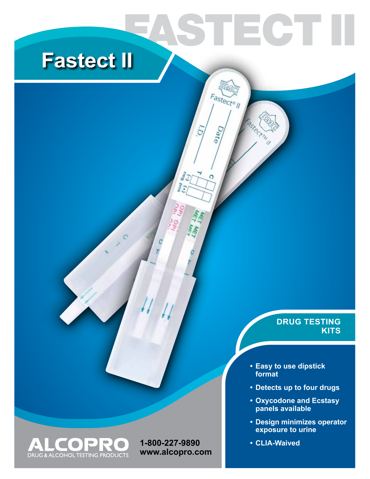# **Fastect II**

## **DRUG TESTING KITS**

**• Easy to use dipstick format**

STECT I

Fastect® ||

Date

C

 $\delta_{\partial t}$ J  $\frac{1}{2}$ 

- **• Detects up to four drugs**
- **• Oxycodone and Ecstasy panels available**
- **• Design minimizes operator exposure to urine**
- **• CLIA-Waived**



**1-800-227-9890 www.alcopro.com**